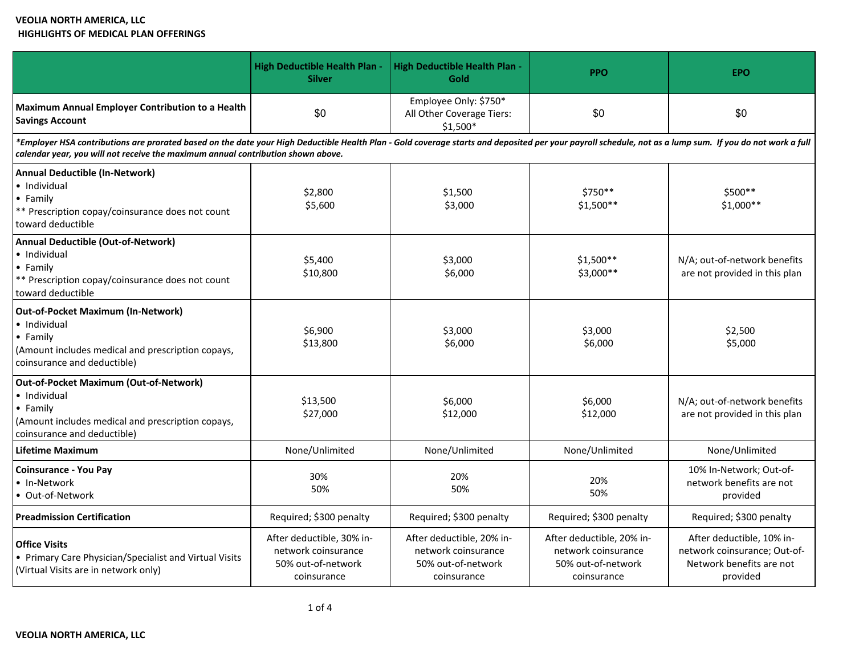# **VEOLIA NORTH AMERICA, LLC HIGHLIGHTS OF MEDICAL PLAN OFFERINGS**

|                                                                                                                                                                                                                                                                                              | <b>High Deductible Health Plan</b><br><b>Silver</b>                                   | <b>High Deductible Health Plan -</b><br>Gold                                          | <b>PPO</b>                                                                            | <b>EPO</b>                                                                                        |  |
|----------------------------------------------------------------------------------------------------------------------------------------------------------------------------------------------------------------------------------------------------------------------------------------------|---------------------------------------------------------------------------------------|---------------------------------------------------------------------------------------|---------------------------------------------------------------------------------------|---------------------------------------------------------------------------------------------------|--|
| Maximum Annual Employer Contribution to a Health<br><b>Savings Account</b>                                                                                                                                                                                                                   | \$0                                                                                   | Employee Only: \$750*<br>All Other Coverage Tiers:<br>$$1,500*$                       | \$0                                                                                   | \$0                                                                                               |  |
| *Employer HSA contributions are prorated based on the date your High Deductible Health Plan - Gold coverage starts and deposited per your payroll schedule, not as a lump sum. If you do not work a full<br>calendar year, you will not receive the maximum annual contribution shown above. |                                                                                       |                                                                                       |                                                                                       |                                                                                                   |  |
| <b>Annual Deductible (In-Network)</b><br>• Individual<br>• Family<br>** Prescription copay/coinsurance does not count<br>toward deductible                                                                                                                                                   | \$2,800<br>\$5,600                                                                    | \$1,500<br>\$3,000                                                                    | \$750**<br>$$1,500**$                                                                 | $$500**$<br>\$1,000**                                                                             |  |
| <b>Annual Deductible (Out-of-Network)</b><br>• Individual<br>• Family<br>** Prescription copay/coinsurance does not count<br>toward deductible                                                                                                                                               | \$5,400<br>\$10,800                                                                   | \$3,000<br>\$6,000                                                                    | $$1,500**$<br>\$3,000**                                                               | N/A; out-of-network benefits<br>are not provided in this plan                                     |  |
| <b>Out-of-Pocket Maximum (In-Network)</b><br>• Individual<br>• Family<br>(Amount includes medical and prescription copays,<br>coinsurance and deductible)                                                                                                                                    | \$6,900<br>\$13,800                                                                   | \$3,000<br>\$6,000                                                                    | \$3,000<br>\$6,000                                                                    | \$2,500<br>\$5,000                                                                                |  |
| <b>Out-of-Pocket Maximum (Out-of-Network)</b><br>• Individual<br>• Family<br>(Amount includes medical and prescription copays,<br>coinsurance and deductible)                                                                                                                                | \$13,500<br>\$27,000                                                                  | \$6,000<br>\$12,000                                                                   | \$6,000<br>\$12,000                                                                   | N/A; out-of-network benefits<br>are not provided in this plan                                     |  |
| Lifetime Maximum                                                                                                                                                                                                                                                                             | None/Unlimited                                                                        | None/Unlimited                                                                        | None/Unlimited                                                                        | None/Unlimited                                                                                    |  |
| <b>Coinsurance - You Pay</b><br>· In-Network<br>• Out-of-Network                                                                                                                                                                                                                             | 30%<br>50%                                                                            | 20%<br>50%                                                                            | 20%<br>50%                                                                            | 10% In-Network; Out-of-<br>network benefits are not<br>provided                                   |  |
| <b>Preadmission Certification</b>                                                                                                                                                                                                                                                            | Required; \$300 penalty                                                               | Required; \$300 penalty                                                               | Required; \$300 penalty                                                               | Required; \$300 penalty                                                                           |  |
| <b>Office Visits</b><br>• Primary Care Physician/Specialist and Virtual Visits<br>(Virtual Visits are in network only)                                                                                                                                                                       | After deductible, 30% in-<br>network coinsurance<br>50% out-of-network<br>coinsurance | After deductible, 20% in-<br>network coinsurance<br>50% out-of-network<br>coinsurance | After deductible, 20% in-<br>network coinsurance<br>50% out-of-network<br>coinsurance | After deductible, 10% in-<br>network coinsurance; Out-of-<br>Network benefits are not<br>provided |  |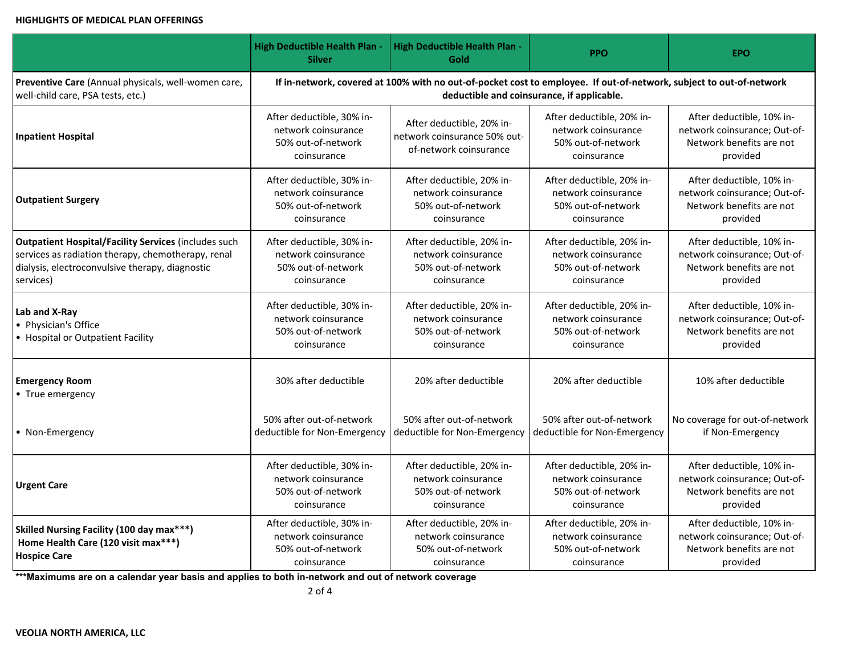#### **HIGHLIGHTS OF MEDICAL PLAN OFFERINGS**

|                                                                                                         | <b>High Deductible Health Plan -</b><br><b>Silver</b>                                                               | High Deductible Health Plan -<br><b>Gold</b>                                          | <b>PPO</b>                                                                            | <b>EPO</b>                                                                                        |
|---------------------------------------------------------------------------------------------------------|---------------------------------------------------------------------------------------------------------------------|---------------------------------------------------------------------------------------|---------------------------------------------------------------------------------------|---------------------------------------------------------------------------------------------------|
| Preventive Care (Annual physicals, well-women care,                                                     | If in-network, covered at 100% with no out-of-pocket cost to employee. If out-of-network, subject to out-of-network |                                                                                       |                                                                                       |                                                                                                   |
| well-child care, PSA tests, etc.)                                                                       | deductible and coinsurance, if applicable.                                                                          |                                                                                       |                                                                                       |                                                                                                   |
| <b>Inpatient Hospital</b>                                                                               | After deductible, 30% in-<br>network coinsurance<br>50% out-of-network<br>coinsurance                               | After deductible, 20% in-<br>network coinsurance 50% out-<br>of-network coinsurance   | After deductible, 20% in-<br>network coinsurance<br>50% out-of-network<br>coinsurance | After deductible, 10% in-<br>network coinsurance; Out-of-<br>Network benefits are not<br>provided |
| <b>Outpatient Surgery</b>                                                                               | After deductible, 30% in-                                                                                           | After deductible, 20% in-                                                             | After deductible, 20% in-                                                             | After deductible, 10% in-                                                                         |
|                                                                                                         | network coinsurance                                                                                                 | network coinsurance                                                                   | network coinsurance                                                                   | network coinsurance; Out-of-                                                                      |
|                                                                                                         | 50% out-of-network                                                                                                  | 50% out-of-network                                                                    | 50% out-of-network                                                                    | Network benefits are not                                                                          |
|                                                                                                         | coinsurance                                                                                                         | coinsurance                                                                           | coinsurance                                                                           | provided                                                                                          |
| <b>Outpatient Hospital/Facility Services (includes such</b>                                             | After deductible, 30% in-                                                                                           | After deductible, 20% in-                                                             | After deductible, 20% in-                                                             | After deductible, 10% in-                                                                         |
| services as radiation therapy, chemotherapy, renal                                                      | network coinsurance                                                                                                 | network coinsurance                                                                   | network coinsurance                                                                   | network coinsurance; Out-of-                                                                      |
| dialysis, electroconvulsive therapy, diagnostic                                                         | 50% out-of-network                                                                                                  | 50% out-of-network                                                                    | 50% out-of-network                                                                    | Network benefits are not                                                                          |
| services)                                                                                               | coinsurance                                                                                                         | coinsurance                                                                           | coinsurance                                                                           | provided                                                                                          |
| Lab and X-Ray<br>• Physician's Office<br>• Hospital or Outpatient Facility                              | After deductible, 30% in-<br>network coinsurance<br>50% out-of-network<br>coinsurance                               | After deductible, 20% in-<br>network coinsurance<br>50% out-of-network<br>coinsurance | After deductible, 20% in-<br>network coinsurance<br>50% out-of-network<br>coinsurance | After deductible, 10% in-<br>network coinsurance; Out-of-<br>Network benefits are not<br>provided |
| <b>Emergency Room</b><br>• True emergency                                                               | 30% after deductible                                                                                                | 20% after deductible                                                                  | 20% after deductible                                                                  | 10% after deductible                                                                              |
| • Non-Emergency                                                                                         | 50% after out-of-network                                                                                            | 50% after out-of-network                                                              | 50% after out-of-network                                                              | No coverage for out-of-network                                                                    |
|                                                                                                         | deductible for Non-Emergency                                                                                        | deductible for Non-Emergency                                                          | deductible for Non-Emergency                                                          | if Non-Emergency                                                                                  |
| <b>Urgent Care</b>                                                                                      | After deductible, 30% in-                                                                                           | After deductible, 20% in-                                                             | After deductible, 20% in-                                                             | After deductible, 10% in-                                                                         |
|                                                                                                         | network coinsurance                                                                                                 | network coinsurance                                                                   | network coinsurance                                                                   | network coinsurance; Out-of-                                                                      |
|                                                                                                         | 50% out-of-network                                                                                                  | 50% out-of-network                                                                    | 50% out-of-network                                                                    | Network benefits are not                                                                          |
|                                                                                                         | coinsurance                                                                                                         | coinsurance                                                                           | coinsurance                                                                           | provided                                                                                          |
| Skilled Nursing Facility (100 day max***)<br>Home Health Care (120 visit max***)<br><b>Hospice Care</b> | After deductible, 30% in-<br>network coinsurance<br>50% out-of-network<br>coinsurance                               | After deductible, 20% in-<br>network coinsurance<br>50% out-of-network<br>coinsurance | After deductible, 20% in-<br>network coinsurance<br>50% out-of-network<br>coinsurance | After deductible, 10% in-<br>network coinsurance; Out-of-<br>Network benefits are not<br>provided |

**\*\*\*Maximums are on a calendar year basis and applies to both in-network and out of network coverage**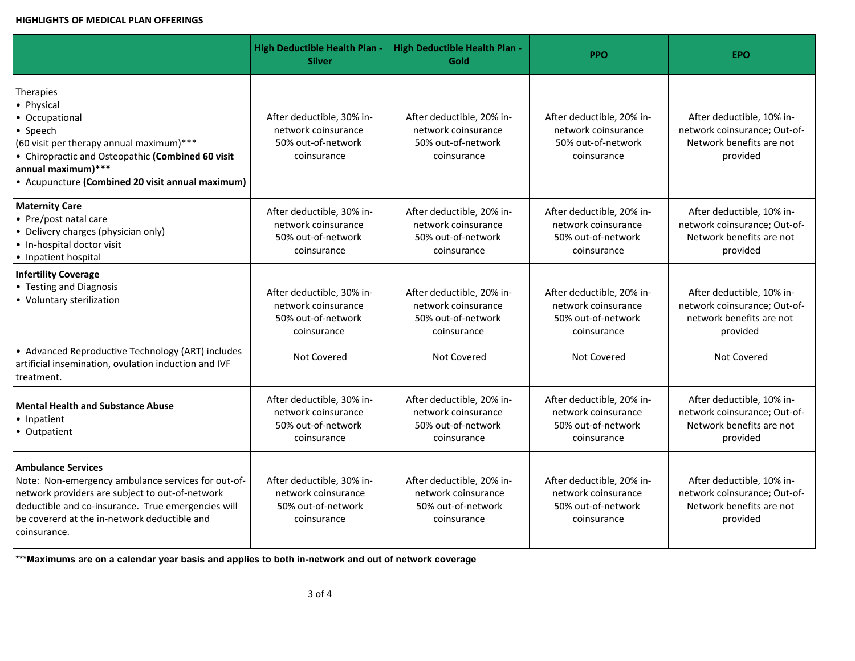### **HIGHLIGHTS OF MEDICAL PLAN OFFERINGS**

|                                                                                                                                                                                                                                                          | <b>High Deductible Health Plan -</b><br><b>Silver</b>                                 | <b>High Deductible Health Plan -</b><br>Gold                                          | <b>PPO</b>                                                                            | <b>EPO</b>                                                                                        |
|----------------------------------------------------------------------------------------------------------------------------------------------------------------------------------------------------------------------------------------------------------|---------------------------------------------------------------------------------------|---------------------------------------------------------------------------------------|---------------------------------------------------------------------------------------|---------------------------------------------------------------------------------------------------|
| Therapies<br>• Physical<br>• Occupational<br>• Speech<br>(60 visit per therapy annual maximum)***<br>• Chiropractic and Osteopathic (Combined 60 visit<br>annual maximum)***<br>• Acupuncture (Combined 20 visit annual maximum)                         | After deductible, 30% in-<br>network coinsurance<br>50% out-of-network<br>coinsurance | After deductible, 20% in-<br>network coinsurance<br>50% out-of-network<br>coinsurance | After deductible, 20% in-<br>network coinsurance<br>50% out-of-network<br>coinsurance | After deductible, 10% in-<br>network coinsurance; Out-of-<br>Network benefits are not<br>provided |
| <b>Maternity Care</b><br>• Pre/post natal care<br>• Delivery charges (physician only)<br>• In-hospital doctor visit<br>• Inpatient hospital                                                                                                              | After deductible, 30% in-<br>network coinsurance<br>50% out-of-network<br>coinsurance | After deductible, 20% in-<br>network coinsurance<br>50% out-of-network<br>coinsurance | After deductible, 20% in-<br>network coinsurance<br>50% out-of-network<br>coinsurance | After deductible, 10% in-<br>network coinsurance; Out-of-<br>Network benefits are not<br>provided |
| <b>Infertility Coverage</b><br>• Testing and Diagnosis<br>• Voluntary sterilization                                                                                                                                                                      | After deductible, 30% in-<br>network coinsurance<br>50% out-of-network<br>coinsurance | After deductible, 20% in-<br>network coinsurance<br>50% out-of-network<br>coinsurance | After deductible, 20% in-<br>network coinsurance<br>50% out-of-network<br>coinsurance | After deductible, 10% in-<br>network coinsurance; Out-of-<br>network benefits are not<br>provided |
| • Advanced Reproductive Technology (ART) includes<br>artificial insemination, ovulation induction and IVF<br>treatment.                                                                                                                                  | <b>Not Covered</b>                                                                    | Not Covered                                                                           | Not Covered                                                                           | Not Covered                                                                                       |
| <b>Mental Health and Substance Abuse</b><br>• Inpatient<br>• Outpatient                                                                                                                                                                                  | After deductible, 30% in-<br>network coinsurance<br>50% out-of-network<br>coinsurance | After deductible, 20% in-<br>network coinsurance<br>50% out-of-network<br>coinsurance | After deductible, 20% in-<br>network coinsurance<br>50% out-of-network<br>coinsurance | After deductible, 10% in-<br>network coinsurance; Out-of-<br>Network benefits are not<br>provided |
| <b>Ambulance Services</b><br>Note: Non-emergency ambulance services for out-of-<br>network providers are subject to out-of-network<br>deductible and co-insurance. True emergencies will<br>be covererd at the in-network deductible and<br>coinsurance. | After deductible, 30% in-<br>network coinsurance<br>50% out-of-network<br>coinsurance | After deductible, 20% in-<br>network coinsurance<br>50% out-of-network<br>coinsurance | After deductible, 20% in-<br>network coinsurance<br>50% out-of-network<br>coinsurance | After deductible, 10% in-<br>network coinsurance; Out-of-<br>Network benefits are not<br>provided |

**\*\*\*Maximums are on a calendar year basis and applies to both in-network and out of network coverage**